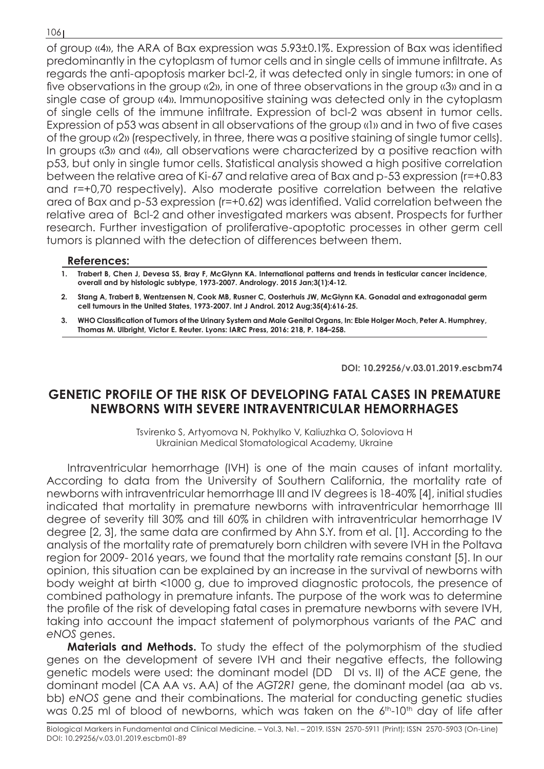## 106

of group «4», the ARA of Bax expression was 5.93±0.1%. Expression of Bax was identified predominantly in the cytoplasm of tumor cells and in single cells of immune infiltrate. As regards the anti-apoptosis marker bcl-2, it was detected only in single tumors: in one of five observations in the group «2», in one of three observations in the group «3» and in a single case of group «4». Immunopositive staining was detected only in the cytoplasm of single cells of the immune infiltrate. Expression of bcl-2 was absent in tumor cells. Expression of p53 was absent in all observations of the group «1» and in two of five cases of the group «2» (respectively, in three, there was a positive staining of single tumor cells). In groups «3» and «4», all observations were characterized by a positive reaction with p53, but only in single tumor cells. Statistical analysis showed a high positive correlation between the relative area of Ki-67 and relative area of Bax and p-53 expression (r=+0.83 and r=+0,70 respectively). Also moderate positive correlation between the relative area of Bax and p-53 expression (r=+0.62) was identified. Valid correlation between the relative area of Bcl-2 and other investigated markers was absent. Prospects for further research. Further investigation of proliferative-apoptotic processes in other germ cell tumors is planned with the detection of differences between them.

## **References:**

**1. Trabert B, Chen J, Devesa SS, Bray F, McGlynn KA. International patterns and trends in testicular cancer incidence, overall and by histologic subtype, 1973-2007. Andrology. 2015 Jan;3(1):4-12.**

- **2. Stang A, Trabert B, Wentzensen N, Cook MB, Rusner C, Oosterhuis JW, McGlynn KA. Gonadal and extragonadal germ cell tumours in the United States, 1973-2007. Int J Androl. 2012 Aug;35(4):616-25.**
- **3. WHO Сlassification of Tumors of the Urinary System and Male Genital Organs, In: Eble Holger Moch, Peter A. Humphrey, Thomas M. Ulbright, Victor E. Reuter. Lyons: IARC Press, 2016: 218, P. 184–258.**

**DOI: 10.29256/v.03.01.2019.escbm74**

## **GENETIC PROFILE OF THE RISK OF DEVELOPING FATAL CASES IN PREMATURE NEWBORNS WITH SEVERE INTRAVENTRICULAR HEMORRHAGES**

Tsvirenko S, Artyomova N, Pokhylko V, Kaliuzhka O, Soloviova H Ukrainian Medical Stomatological Academy, Ukraine

Intraventricular hemorrhage (IVH) is one of the main causes of infant mortality. According to data from the University of Southern California, the mortality rate of newborns with intraventricular hemorrhage III and IV degrees is 18-40% [4], initial studies indicated that mortality in premature newborns with intraventricular hemorrhage III degree of severity till 30% and till 60% in children with intraventricular hemorrhage IV degree [2, 3], the same data are confirmed by Ahn S.Y. from et al. [1]. According to the analysis of the mortality rate of prematurely born children with severe IVH in the Poltava region for 2009- 2016 years, we found that the mortality rate remains constant [5]. In our opinion, this situation can be explained by an increase in the survival of newborns with body weight at birth <1000 g, due to improved diagnostic protocols, the presence of combined pathology in premature infants. The purpose of the work was to determine the profile of the risk of developing fatal cases in premature newborns with severe IVH, taking into account the impact statement of polymorphous variants of the *PAC* and *eNOS* genes.

**Materials and Methods.** To study the effect of the polymorphism of the studied genes on the development of severe IVH and their negative effects, the following genetic models were used: the dominant model (DD DІ vs. II) of the *ACE* gene, the dominant model (CA AA vs. AA) of the *AGT2R1* gene, the dominant model (aa ab vs. bb) *eNOS* gene and their combinations. The material for conducting genetic studies was 0.25 ml of blood of newborns, which was taken on the 6<sup>th</sup>-10<sup>th</sup> day of life after